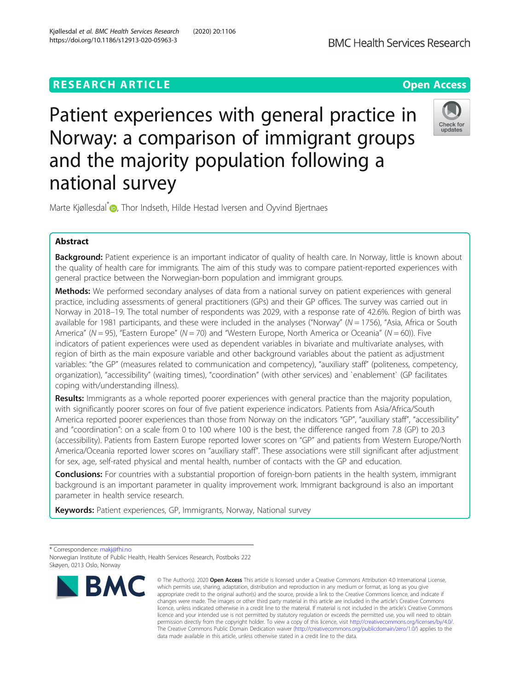## **RESEARCH ARTICLE Example 2014 12:30 The Contract of Contract ACCESS**



# Patient experiences with general practice in Norway: a comparison of immigrant groups and the majority population following a national survey



Marte Kjøllesdal<sup>[\\*](http://orcid.org/0000-0002-5223-711X)</sup> <sub>(b)</sub>, Thor Indseth, Hilde Hestad Iversen and Oyvind Bjertnaes

## Abstract

Background: Patient experience is an important indicator of quality of health care. In Norway, little is known about the quality of health care for immigrants. The aim of this study was to compare patient-reported experiences with general practice between the Norwegian-born population and immigrant groups.

Methods: We performed secondary analyses of data from a national survey on patient experiences with general practice, including assessments of general practitioners (GPs) and their GP offices. The survey was carried out in Norway in 2018–19. The total number of respondents was 2029, with a response rate of 42.6%. Region of birth was available for 1981 participants, and these were included in the analyses ("Norway" ( $N = 1756$ ), "Asia, Africa or South America" ( $N = 95$ ), "Eastern Europe" ( $N = 70$ ) and "Western Europe, North America or Oceania" ( $N = 60$ )). Five indicators of patient experiences were used as dependent variables in bivariate and multivariate analyses, with region of birth as the main exposure variable and other background variables about the patient as adjustment variables: "the GP" (measures related to communication and competency), "auxiliary staff" (politeness, competency, organization), "accessibility" (waiting times), "coordination" (with other services) and `enablement` (GP facilitates coping with/understanding illness).

Results: Immigrants as a whole reported poorer experiences with general practice than the majority population, with significantly poorer scores on four of five patient experience indicators. Patients from Asia/Africa/South America reported poorer experiences than those from Norway on the indicators "GP", "auxiliary staff", "accessibility" and "coordination": on a scale from 0 to 100 where 100 is the best, the difference ranged from 7.8 (GP) to 20.3 (accessibility). Patients from Eastern Europe reported lower scores on "GP" and patients from Western Europe/North America/Oceania reported lower scores on "auxiliary staff". These associations were still significant after adjustment for sex, age, self-rated physical and mental health, number of contacts with the GP and education.

**Conclusions:** For countries with a substantial proportion of foreign-born patients in the health system, immigrant background is an important parameter in quality improvement work. Immigrant background is also an important parameter in health service research.

Keywords: Patient experiences, GP, Immigrants, Norway, National survey

\* Correspondence: [makj@fhi.no](mailto:makj@fhi.no) Norwegian Institute of Public Health, Health Services Research, Postboks 222 Skøyen, 0213 Oslo, Norway



<sup>©</sup> The Author(s), 2020 **Open Access** This article is licensed under a Creative Commons Attribution 4.0 International License, which permits use, sharing, adaptation, distribution and reproduction in any medium or format, as long as you give appropriate credit to the original author(s) and the source, provide a link to the Creative Commons licence, and indicate if changes were made. The images or other third party material in this article are included in the article's Creative Commons licence, unless indicated otherwise in a credit line to the material. If material is not included in the article's Creative Commons licence and your intended use is not permitted by statutory regulation or exceeds the permitted use, you will need to obtain permission directly from the copyright holder. To view a copy of this licence, visit [http://creativecommons.org/licenses/by/4.0/.](http://creativecommons.org/licenses/by/4.0/) The Creative Commons Public Domain Dedication waiver [\(http://creativecommons.org/publicdomain/zero/1.0/](http://creativecommons.org/publicdomain/zero/1.0/)) applies to the data made available in this article, unless otherwise stated in a credit line to the data.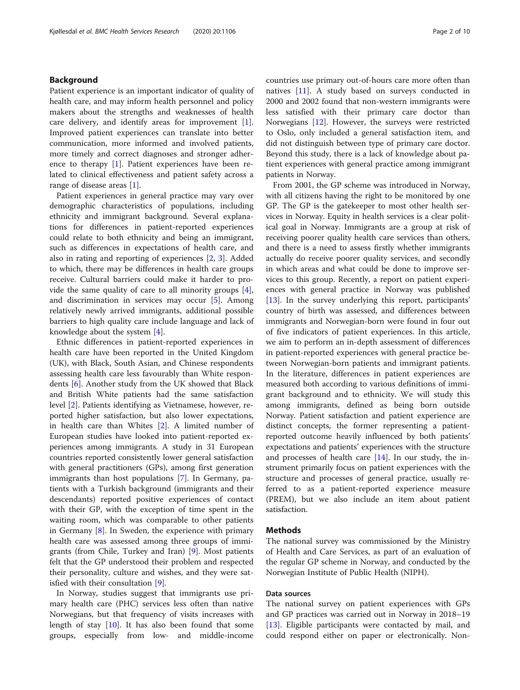## Background

Patient experience is an important indicator of quality of health care, and may inform health personnel and policy makers about the strengths and weaknesses of health care delivery, and identify areas for improvement [\[1](#page-9-0)]. Improved patient experiences can translate into better communication, more informed and involved patients, more timely and correct diagnoses and stronger adherence to therapy [\[1](#page-9-0)]. Patient experiences have been related to clinical effectiveness and patient safety across a range of disease areas [\[1](#page-9-0)].

Patient experiences in general practice may vary over demographic characteristics of populations, including ethnicity and immigrant background. Several explanations for differences in patient-reported experiences could relate to both ethnicity and being an immigrant, such as differences in expectations of health care, and also in rating and reporting of experiences [[2](#page-9-0), [3\]](#page-9-0). Added to which, there may be differences in health care groups receive. Cultural barriers could make it harder to provide the same quality of care to all minority groups [\[4](#page-9-0)], and discrimination in services may occur  $[5]$  $[5]$ . Among relatively newly arrived immigrants, additional possible barriers to high quality care include language and lack of knowledge about the system [[4\]](#page-9-0).

Ethnic differences in patient-reported experiences in health care have been reported in the United Kingdom (UK), with Black, South Asian, and Chinese respondents assessing health care less favourably than White respondents [[6\]](#page-9-0). Another study from the UK showed that Black and British White patients had the same satisfaction level [\[2](#page-9-0)]. Patients identifying as Vietnamese, however, reported higher satisfaction, but also lower expectations, in health care than Whites [[2\]](#page-9-0). A limited number of European studies have looked into patient-reported experiences among immigrants. A study in 31 European countries reported consistently lower general satisfaction with general practitioners (GPs), among first generation immigrants than host populations [\[7](#page-9-0)]. In Germany, patients with a Turkish background (immigrants and their descendants) reported positive experiences of contact with their GP, with the exception of time spent in the waiting room, which was comparable to other patients in Germany  $[8]$  $[8]$ . In Sweden, the experience with primary health care was assessed among three groups of immigrants (from Chile, Turkey and Iran) [\[9](#page-9-0)]. Most patients felt that the GP understood their problem and respected their personality, culture and wishes, and they were satisfied with their consultation [\[9](#page-9-0)].

In Norway, studies suggest that immigrants use primary health care (PHC) services less often than native Norwegians, but that frequency of visits increases with length of stay  $[10]$ . It has also been found that some groups, especially from low- and middle-income countries use primary out-of-hours care more often than natives [[11](#page-9-0)]. A study based on surveys conducted in 2000 and 2002 found that non-western immigrants were less satisfied with their primary care doctor than Norwegians [[12\]](#page-9-0). However, the surveys were restricted to Oslo, only included a general satisfaction item, and did not distinguish between type of primary care doctor. Beyond this study, there is a lack of knowledge about patient experiences with general practice among immigrant patients in Norway.

From 2001, the GP scheme was introduced in Norway, with all citizens having the right to be monitored by one GP. The GP is the gatekeeper to most other health services in Norway. Equity in health services is a clear political goal in Norway. Immigrants are a group at risk of receiving poorer quality health care services than others, and there is a need to assess firstly whether immigrants actually do receive poorer quality services, and secondly in which areas and what could be done to improve services to this group. Recently, a report on patient experiences with general practice in Norway was published [[13\]](#page-9-0). In the survey underlying this report, participants' country of birth was assessed, and differences between immigrants and Norwegian-born were found in four out of five indicators of patient experiences. In this article, we aim to perform an in-depth assessment of differences in patient-reported experiences with general practice between Norwegian-born patients and immigrant patients. In the literature, differences in patient experiences are measured both according to various definitions of immigrant background and to ethnicity. We will study this among immigrants, defined as being born outside Norway. Patient satisfaction and patient experience are distinct concepts, the former representing a patientreported outcome heavily influenced by both patients' expectations and patients' experiences with the structure and processes of health care  $[14]$  $[14]$ . In our study, the instrument primarily focus on patient experiences with the structure and processes of general practice, usually referred to as a patient-reported experience measure (PREM), but we also include an item about patient satisfaction.

## Methods

The national survey was commissioned by the Ministry of Health and Care Services, as part of an evaluation of the regular GP scheme in Norway, and conducted by the Norwegian Institute of Public Health (NIPH).

## Data sources

The national survey on patient experiences with GPs and GP practices was carried out in Norway in 2018–19 [[13\]](#page-9-0). Eligible participants were contacted by mail, and could respond either on paper or electronically. Non-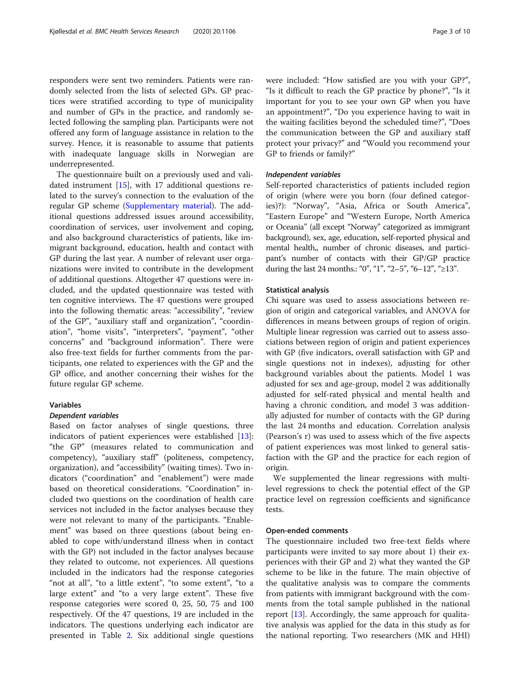responders were sent two reminders. Patients were randomly selected from the lists of selected GPs. GP practices were stratified according to type of municipality and number of GPs in the practice, and randomly selected following the sampling plan. Participants were not offered any form of language assistance in relation to the survey. Hence, it is reasonable to assume that patients with inadequate language skills in Norwegian are underrepresented.

The questionnaire built on a previously used and validated instrument [[15\]](#page-9-0), with 17 additional questions related to the survey's connection to the evaluation of the regular GP scheme ([Supplementary material\)](#page-9-0). The additional questions addressed issues around accessibility, coordination of services, user involvement and coping, and also background characteristics of patients, like immigrant background, education, health and contact with GP during the last year. A number of relevant user organizations were invited to contribute in the development of additional questions. Altogether 47 questions were included, and the updated questionnaire was tested with ten cognitive interviews. The 47 questions were grouped into the following thematic areas: "accessibility", "review of the GP", "auxiliary staff and organization", "coordination", "home visits", "interpreters", "payment", "other concerns" and "background information". There were also free-text fields for further comments from the participants, one related to experiences with the GP and the GP office, and another concerning their wishes for the future regular GP scheme.

## Variables

#### Dependent variables

Based on factor analyses of single questions, three indicators of patient experiences were established [\[13](#page-9-0)]: "the GP" (measures related to communication and competency), "auxiliary staff" (politeness, competency, organization), and "accessibility" (waiting times). Two indicators ("coordination" and "enablement") were made based on theoretical considerations. "Coordination" included two questions on the coordination of health care services not included in the factor analyses because they were not relevant to many of the participants. "Enablement" was based on three questions (about being enabled to cope with/understand illness when in contact with the GP) not included in the factor analyses because they related to outcome, not experiences. All questions included in the indicators had the response categories "not at all", "to a little extent", "to some extent", "to a large extent" and "to a very large extent". These five response categories were scored 0, 25, 50, 75 and 100 respectively. Of the 47 questions, 19 are included in the indicators. The questions underlying each indicator are presented in Table [2.](#page-4-0) Six additional single questions were included: "How satisfied are you with your GP?", "Is it difficult to reach the GP practice by phone?", "Is it important for you to see your own GP when you have an appointment?", "Do you experience having to wait in the waiting facilities beyond the scheduled time?", "Does the communication between the GP and auxiliary staff protect your privacy?" and "Would you recommend your GP to friends or family?"

## Independent variables

Self-reported characteristics of patients included region of origin (where were you born (four defined categories)?): "Norway", "Asia, Africa or South America", "Eastern Europe" and "Western Europe, North America or Oceania" (all except "Norway" categorized as immigrant background), sex, age, education, self-reported physical and mental health,, number of chronic diseases, and participant's number of contacts with their GP/GP practice during the last 24 months.: "0", "1", "2–5", "6–12", "≥13".

#### Statistical analysis

Chi square was used to assess associations between region of origin and categorical variables, and ANOVA for differences in means between groups of region of origin. Multiple linear regression was carried out to assess associations between region of origin and patient experiences with GP (five indicators, overall satisfaction with GP and single questions not in indexes), adjusting for other background variables about the patients. Model 1 was adjusted for sex and age-group, model 2 was additionally adjusted for self-rated physical and mental health and having a chronic condition, and model 3 was additionally adjusted for number of contacts with the GP during the last 24 months and education. Correlation analysis (Pearson's r) was used to assess which of the five aspects of patient experiences was most linked to general satisfaction with the GP and the practice for each region of origin.

We supplemented the linear regressions with multilevel regressions to check the potential effect of the GP practice level on regression coefficients and significance tests.

#### Open-ended comments

The questionnaire included two free-text fields where participants were invited to say more about 1) their experiences with their GP and 2) what they wanted the GP scheme to be like in the future. The main objective of the qualitative analysis was to compare the comments from patients with immigrant background with the comments from the total sample published in the national report [[13](#page-9-0)]. Accordingly, the same approach for qualitative analysis was applied for the data in this study as for the national reporting. Two researchers (MK and HHI)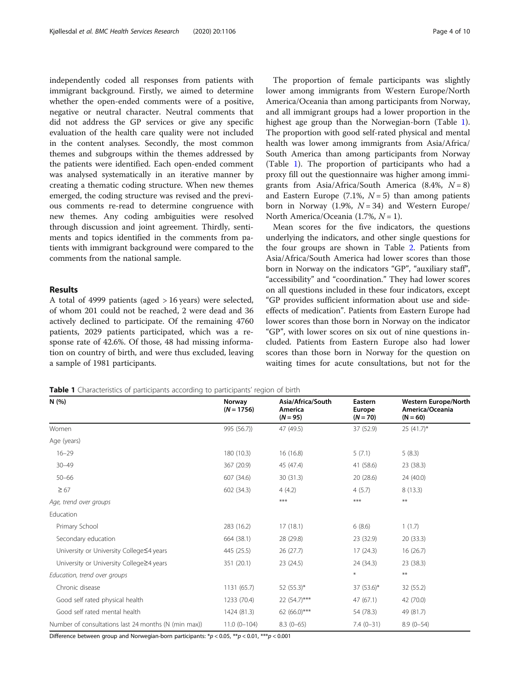independently coded all responses from patients with immigrant background. Firstly, we aimed to determine whether the open-ended comments were of a positive, negative or neutral character. Neutral comments that did not address the GP services or give any specific evaluation of the health care quality were not included in the content analyses. Secondly, the most common themes and subgroups within the themes addressed by the patients were identified. Each open-ended comment was analysed systematically in an iterative manner by creating a thematic coding structure. When new themes emerged, the coding structure was revised and the previous comments re-read to determine congruence with new themes. Any coding ambiguities were resolved through discussion and joint agreement. Thirdly, sentiments and topics identified in the comments from patients with immigrant background were compared to the comments from the national sample.

## Results

A total of 4999 patients (aged > 16 years) were selected, of whom 201 could not be reached, 2 were dead and 36 actively declined to participate. Of the remaining 4760 patients, 2029 patients participated, which was a response rate of 42.6%. Of those, 48 had missing information on country of birth, and were thus excluded, leaving a sample of 1981 participants.

The proportion of female participants was slightly lower among immigrants from Western Europe/North America/Oceania than among participants from Norway, and all immigrant groups had a lower proportion in the highest age group than the Norwegian-born (Table 1). The proportion with good self-rated physical and mental health was lower among immigrants from Asia/Africa/ South America than among participants from Norway (Table 1). The proportion of participants who had a proxy fill out the questionnaire was higher among immigrants from Asia/Africa/South America  $(8.4\%, N=8)$ and Eastern Europe (7.1%,  $N = 5$ ) than among patients born in Norway (1.9%,  $N = 34$ ) and Western Europe/ North America/Oceania (1.7%,  $N = 1$ ).

Mean scores for the five indicators, the questions underlying the indicators, and other single questions for the four groups are shown in Table [2.](#page-4-0) Patients from Asia/Africa/South America had lower scores than those born in Norway on the indicators "GP", "auxiliary staff", "accessibility" and "coordination." They had lower scores on all questions included in these four indicators, except "GP provides sufficient information about use and sideeffects of medication". Patients from Eastern Europe had lower scores than those born in Norway on the indicator "GP", with lower scores on six out of nine questions included. Patients from Eastern Europe also had lower scores than those born in Norway for the question on waiting times for acute consultations, but not for the

Table 1 Characteristics of participants according to participants' region of birth

| N(%)                                                 | Norway<br>$(N = 1756)$ | Asia/Africa/South<br>America<br>$(N = 95)$ | Eastern<br><b>Europe</b><br>$(N = 70)$ | <b>Western Europe/North</b><br>America/Oceania<br>$(N = 60)$ |
|------------------------------------------------------|------------------------|--------------------------------------------|----------------------------------------|--------------------------------------------------------------|
| Women                                                | 995 (56.7))            | 47 (49.5)                                  | 37 (52.9)                              | $25(41.7)^{*}$                                               |
| Age (years)                                          |                        |                                            |                                        |                                                              |
| $16 - 29$                                            | 180 (10.3)             | 16 (16.8)                                  | 5(7.1)                                 | 5(8.3)                                                       |
| $30 - 49$                                            | 367 (20.9)             | 45 (47.4)                                  | 41 (58.6)                              | 23 (38.3)                                                    |
| $50 - 66$                                            | 607 (34.6)             | 30 (31.3)                                  | 20(28.6)                               | 24 (40.0)                                                    |
| $\geq 67$                                            | 602 (34.3)             | 4(4.2)                                     | 4(5.7)                                 | 8(13.3)                                                      |
| Age, trend over groups                               |                        | ***                                        | ***                                    | $***$                                                        |
| Education                                            |                        |                                            |                                        |                                                              |
| Primary School                                       | 283 (16.2)             | 17(18.1)                                   | 6(8.6)                                 | 1(1.7)                                                       |
| Secondary education                                  | 664 (38.1)             | 28 (29.8)                                  | 23 (32.9)                              | 20(33.3)                                                     |
| University or University College S4 years            | 445 (25.5)             | 26(27.7)                                   | 17(24.3)                               | 16(26.7)                                                     |
| University or University College≥4 years             | 351 (20.1)             | 23 (24.5)                                  | 24 (34.3)                              | 23 (38.3)                                                    |
| Education, trend over groups                         |                        |                                            | $\ast$                                 | $***$                                                        |
| Chronic disease                                      | 1131 (65.7)            | $52(55.3)^*$                               | $37(53.6)$ *                           | 32 (55.2)                                                    |
| Good self rated physical health                      | 1233 (70.4)            | 22 (54.7)***                               | 47(67.1)                               | 42 (70.0)                                                    |
| Good self rated mental health                        | 1424 (81.3)            | 62 (66.0)***                               | 54 (78.3)                              | 49 (81.7)                                                    |
| Number of consultations last 24 months (N (min max)) | $11.0(0-104)$          | $8.3(0-65)$                                | $7.4(0-31)$                            | $8.9(0-54)$                                                  |

Difference between group and Norwegian-born participants: \*p < 0.05, \*\*p < 0.01, \*\*\*p < 0.001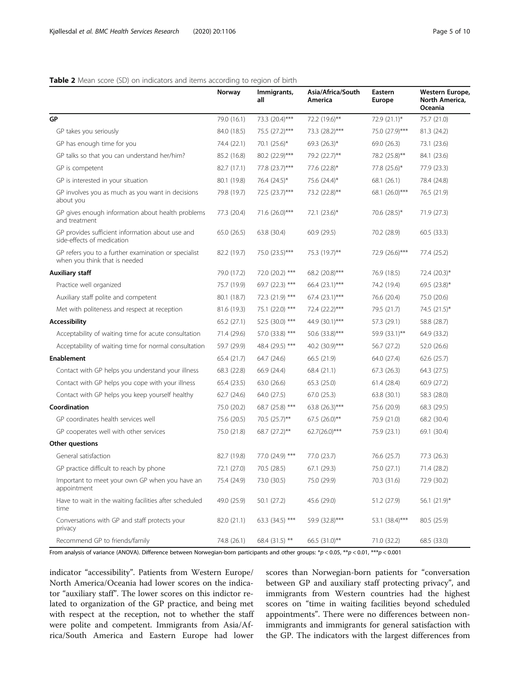## <span id="page-4-0"></span>Table 2 Mean score (SD) on indicators and items according to region of birth

|                                                                                       | Norway      | Immigrants,<br>all | Asia/Africa/South<br>America | Eastern<br><b>Europe</b> | <b>Western Europe,</b><br>North America,<br>Oceania |
|---------------------------------------------------------------------------------------|-------------|--------------------|------------------------------|--------------------------|-----------------------------------------------------|
| GP                                                                                    | 79.0 (16.1) | 73.3 (20.4)***     | 72.2 (19.6)**                | 72.9 (21.1)*             | 75.7 (21.0)                                         |
| GP takes you seriously                                                                | 84.0 (18.5) | 75.5 (27.2)***     | 73.3 (28.2)***               | 75.0 (27.9)***           | 81.3 (24.2)                                         |
| GP has enough time for you                                                            | 74.4 (22.1) | 70.1 $(25.6)^*$    | 69.3 $(26.3)^*$              | 69.0 (26.3)              | 73.1 (23.6)                                         |
| GP talks so that you can understand her/him?                                          | 85.2 (16.8) | 80.2 (22.9)***     | 79.2 (22.7)**                | 78.2 (25.8)**            | 84.1 (23.6)                                         |
| GP is competent                                                                       | 82.7 (17.1) | 77.8 (23.7)***     | 77.6 (22.8)*                 | 77.8 (25.6)*             | 77.9 (23.3)                                         |
| GP is interested in your situation                                                    | 80.1 (19.8) | 76.4 (24.5)*       | 75.6 (24.4)*                 | 68.1 (26.1)              | 78.4 (24.8)                                         |
| GP involves you as much as you want in decisions<br>about you                         | 79.8 (19.7) | 72.5 (23.7)***     | 73.2 (22.8)**                | 68.1 (26.0)***           | 76.5 (21.9)                                         |
| GP gives enough information about health problems<br>and treatment                    | 77.3 (20.4) | 71.6 (26.0)***     | 72.1 $(23.6)^*$              | 70.6 (28.5)*             | 71.9 (27.3)                                         |
| GP provides sufficient information about use and<br>side-effects of medication        | 65.0 (26.5) | 63.8 (30.4)        | 60.9(29.5)                   | 70.2 (28.9)              | 60.5 (33.3)                                         |
| GP refers you to a further examination or specialist<br>when you think that is needed | 82.2 (19.7) | 75.0 (23.5)***     | 75.3 (19.7)**                | 72.9 (26.6)***           | 77.4 (25.2)                                         |
| <b>Auxiliary staff</b>                                                                | 79.0 (17.2) | 72.0 (20.2) ***    | 68.2 (20.8)***               | 76.9 (18.5)              | $72.4 (20.3)^*$                                     |
| Practice well organized                                                               | 75.7 (19.9) | 69.7 (22.3) ***    | 66.4 (23.1)***               | 74.2 (19.4)              | 69.5 (23.8)*                                        |
| Auxiliary staff polite and competent                                                  | 80.1 (18.7) | 72.3 (21.9) ***    | 67.4 (23.1)***               | 76.6 (20.4)              | 75.0 (20.6)                                         |
| Met with politeness and respect at reception                                          | 81.6 (19.3) | 75.1 (22.0) ***    | 72.4 (22.2)***               | 79.5 (21.7)              | 74.5 (21.5)*                                        |
| <b>Accessibility</b>                                                                  | 65.2 (27.1) | 52.5 (30.0) ***    | 44.9 (30.1)***               | 57.3 (29.1)              | 58.8 (28.7)                                         |
| Acceptability of waiting time for acute consultation                                  | 71.4 (29.6) | 57.0 (33.8) ***    | 50.6 (33.8)***               | 59.9 (33.1)**            | 64.9 (33.2)                                         |
| Acceptability of waiting time for normal consultation                                 | 59.7 (29.9) | 48.4 (29.5) ***    | 40.2 (30.9)***               | 56.7 (27.2)              | 52.0 (26.6)                                         |
| <b>Enablement</b>                                                                     | 65.4 (21.7) | 64.7 (24.6)        | 66.5 (21.9)                  | 64.0 (27.4)              | 62.6 (25.7)                                         |
| Contact with GP helps you understand your illness                                     | 68.3 (22.8) | 66.9 (24.4)        | 68.4 (21.1)                  | 67.3 (26.3)              | 64.3 (27.5)                                         |
| Contact with GP helps you cope with your illness                                      | 65.4 (23.5) | 63.0 (26.6)        | 65.3(25.0)                   | 61.4 (28.4)              | 60.9 (27.2)                                         |
| Contact with GP helps you keep yourself healthy                                       | 62.7(24.6)  | 64.0 (27.5)        | 67.0 (25.3)                  | 63.8 (30.1)              | 58.3 (28.0)                                         |
| Coordination                                                                          | 75.0 (20.2) | 68.7 (25.8) ***    | 63.8 $(26.3)***$             | 75.6 (20.9)              | 68.3 (29.5)                                         |
| GP coordinates health services well                                                   | 75.6 (20.5) | 70.5 (25.7)**      | $67.5$ (26.0)**              | 75.9 (21.0)              | 68.2 (30.4)                                         |
| GP cooperates well with other services                                                | 75.0 (21.8) | 68.7 (27.2)**      | 62.7(26.0)***                | 75.9 (23.1)              | 69.1 (30.4)                                         |
| Other questions                                                                       |             |                    |                              |                          |                                                     |
| General satisfaction                                                                  | 82.7 (19.8) | 77.0 (24.9) ***    | 77.0 (23.7)                  | 76.6 (25.7)              | 77.3 (26.3)                                         |
| GP practice difficult to reach by phone                                               | 72.1 (27.0) | 70.5 (28.5)        | 67.1 (29.3)                  | 75.0 (27.1)              | 71.4 (28.2)                                         |
| Important to meet your own GP when you have an<br>appointment                         | 75.4 (24.9) | 73.0 (30.5)        | 75.0 (29.9)                  | 70.3 (31.6)              | 72.9 (30.2)                                         |
| Have to wait in the waiting facilities after scheduled<br>time                        | 49.0 (25.9) | 50.1 (27.2)        | 45.6 (29.0)                  | 51.2 (27.9)              | 56.1 $(21.9)^*$                                     |
| Conversations with GP and staff protects your<br>privacy                              | 82.0 (21.1) | 63.3 $(34.5)$ ***  | 59.9 (32.8)***               | 53.1 (38.4)***           | 80.5 (25.9)                                         |
| Recommend GP to friends/family                                                        | 74.8 (26.1) | 68.4 (31.5) **     | 66.5 (31.0)**                | 71.0 (32.2)              | 68.5 (33.0)                                         |

From analysis of variance (ANOVA). Difference between Norwegian-born participants and other groups: \*p < 0.05, \*\*p < 0.01, \*\*\*p < 0.001

indicator "accessibility". Patients from Western Europe/ North America/Oceania had lower scores on the indicator "auxiliary staff". The lower scores on this indictor related to organization of the GP practice, and being met with respect at the reception, not to whether the staff were polite and competent. Immigrants from Asia/Africa/South America and Eastern Europe had lower

scores than Norwegian-born patients for "conversation between GP and auxiliary staff protecting privacy", and immigrants from Western countries had the highest scores on "time in waiting facilities beyond scheduled appointments". There were no differences between nonimmigrants and immigrants for general satisfaction with the GP. The indicators with the largest differences from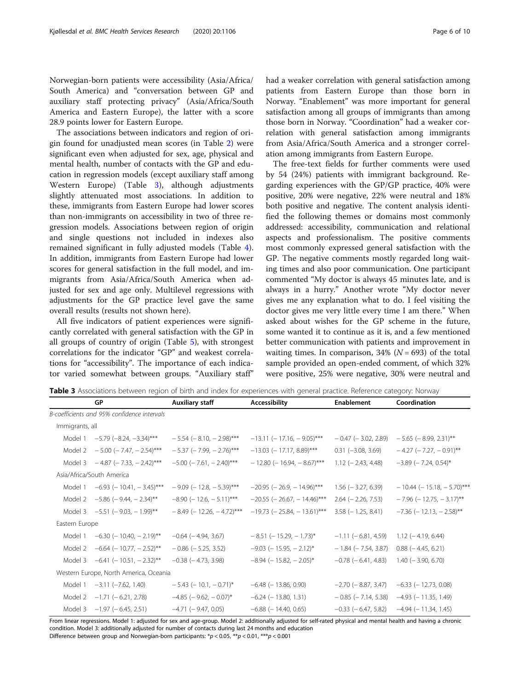Norwegian-born patients were accessibility (Asia/Africa/ South America) and "conversation between GP and auxiliary staff protecting privacy" (Asia/Africa/South America and Eastern Europe), the latter with a score 28.9 points lower for Eastern Europe.

The associations between indicators and region of origin found for unadjusted mean scores (in Table [2\)](#page-4-0) were significant even when adjusted for sex, age, physical and mental health, number of contacts with the GP and education in regression models (except auxiliary staff among Western Europe) (Table 3), although adjustments slightly attenuated most associations. In addition to these, immigrants from Eastern Europe had lower scores than non-immigrants on accessibility in two of three regression models. Associations between region of origin and single questions not included in indexes also remained significant in fully adjusted models (Table [4](#page-6-0)). In addition, immigrants from Eastern Europe had lower scores for general satisfaction in the full model, and immigrants from Asia/Africa/South America when adjusted for sex and age only. Multilevel regressions with adjustments for the GP practice level gave the same overall results (results not shown here).

All five indicators of patient experiences were significantly correlated with general satisfaction with the GP in all groups of country of origin (Table [5\)](#page-7-0), with strongest correlations for the indicator "GP" and weakest correlations for "accessibility". The importance of each indicator varied somewhat between groups. "Auxiliary staff"

B-coefficients and 95% confidence intervals

Immigrants, all

Eastern Europe

Asia/Africa/South America

had a weaker correlation with general satisfaction among patients from Eastern Europe than those born in Norway. "Enablement" was more important for general satisfaction among all groups of immigrants than among those born in Norway. "Coordination" had a weaker correlation with general satisfaction among immigrants from Asia/Africa/South America and a stronger correlation among immigrants from Eastern Europe.

The free-text fields for further comments were used by 54 (24%) patients with immigrant background. Regarding experiences with the GP/GP practice, 40% were positive, 20% were negative, 22% were neutral and 18% both positive and negative. The content analysis identified the following themes or domains most commonly addressed: accessibility, communication and relational aspects and professionalism. The positive comments most commonly expressed general satisfaction with the GP. The negative comments mostly regarded long waiting times and also poor communication. One participant commented "My doctor is always 45 minutes late, and is always in a hurry." Another wrote "My doctor never gives me any explanation what to do. I feel visiting the doctor gives me very little every time I am there." When asked about wishes for the GP scheme in the future, some wanted it to continue as it is, and a few mentioned better communication with patients and improvement in waiting times. In comparison,  $34\%$  ( $N = 693$ ) of the total sample provided an open-ended comment, of which 32% were positive, 25% were negative, 30% were neutral and

Table 3 Associations between region of birth and index for experiences with general practice. Reference category: Norway

GP **Auxiliary staff** Accessibility **Enablement** Coordination

Model 1 −5.79 (−8.24, −3.34)\*\*\* −5.54 (−8.10, −2.98)\*\*\* −13.11 (−17.16, −9.05)\*\*\* −0.47 (−3.02, 2.89) −5.65 (−8.99, 2.31)\*\* Model 2 - 5.00 (- 7.47, - 2.54)\*\*\* - 5.37 (- 7.99, - 2.76)\*\*\* -13.03 (- 17.17, 8.89)\*\*\* 0.31 (-3.08, 3.69) - 4.27 (- 7.27, - 0.91)\*\* Model 3 − 4.87 (− 7.33, − 2.42)\*\*\* − 5.00 (− 7.61, − 2.40)\*\*\* − 12.80 (− 16.94, − 8.67)\*\*\* 1.12 (− 2.43, 4.48) − 3.89 (− 7.24, 0.54)\*

Model 1 −6.93 (− 10.41, − 3.45)\*\*\* − 9.09 (− 12.8, − 5.39)\*\*\* −20.95 (− 26.9, − 14.96)\*\*\* 1.56 (− 3.27, 6.39) − 10.44 (− 15.18, − 5.70)\*\*\* Model 2 −5.86 (− 9.44, − 2.34)\*\* −8.90 (− 12.6, − 5.11)\*\*\* −20.55 (− 26.67, − 14.46)\*\*\* 2.64 (− 2.26, 7.53) − 7.96 (− 12.75, − 3.17)\*\* Model 3 -5.51 (- 9.03, - 1.99)\*\* -8.49 (- 12.26, - 4.72)\*\*\* -19.73 (- 25.84, - 13.61)\*\*\* 3.58 (- 1.25, 8.41) -7.36 (- 12.13, - 2.58)\*\*

| From linear regressions. Model 1: adjusted for sex and age-group. Model 2: additionally adjusted for self-rated physical and mental health and having a chronic<br>condition. Model 3: additionally adjusted for number of contacts during last 24 months and education |                                          |                                |                                 |                                                  |                                                      |  |  |
|-------------------------------------------------------------------------------------------------------------------------------------------------------------------------------------------------------------------------------------------------------------------------|------------------------------------------|--------------------------------|---------------------------------|--------------------------------------------------|------------------------------------------------------|--|--|
|                                                                                                                                                                                                                                                                         | Model 3 $-1.97$ ( $-6.45$ , 2.51)        | $-4.71$ ( $-9.47$ , 0.05)      | $-6.88$ ( $-14.40$ , 0.65)      |                                                  | $-0.33$ ( $-6.47$ , 5.82) $-4.94$ ( $-11.34$ , 1.45) |  |  |
|                                                                                                                                                                                                                                                                         | Model 2 $-1.71$ ( $-6.21$ , 2.78)        | $-4.85$ ( $-9.62$ , $-0.07$ )* | $-6.24$ ( $-13.80$ , 1.31)      |                                                  | $-0.85$ ( $-7.14$ , 5.38) $-4.93$ ( $-11.35$ , 1.49) |  |  |
|                                                                                                                                                                                                                                                                         | Model $1 -3.11 (-7.62, 1.40)$            | $-5.43$ ( $-10.1$ , $-0.71$ )* | $-6.48$ ( $-13.86$ , 0.90)      |                                                  | $-2.70$ ( $-8.87$ , 3.47) $-6.33$ ( $-12.73$ , 0.08) |  |  |
|                                                                                                                                                                                                                                                                         | Western Europe, North America, Oceania   |                                |                                 |                                                  |                                                      |  |  |
|                                                                                                                                                                                                                                                                         | Model 3 $-6.41$ ( $-10.51$ , $-2.32$ )** | $-0.38$ ( $-4.73$ , 3.98)      | $-8.94$ ( $-15.82$ , $-2.05$ )* | $-0.78$ ( $-6.41$ , 4.83) 1.40 ( $-3.90$ , 6.70) |                                                      |  |  |
| Model 2                                                                                                                                                                                                                                                                 | $-6.64$ (-10.77, -2.52)**                | $-0.86$ ( $-5.25$ , 3.52)      | $-9.03$ (-15.95, -2.12)*        | $-1.84$ ( $-7.54$ , 3.87)                        | $0.88(-4.45, 6.21)$                                  |  |  |
| Model 1                                                                                                                                                                                                                                                                 | $-6.30$ (-10.40, -2.19)**                | $-0.64$ ( $-4.94$ , 3.67)      | $-8.51$ ( $-15.29$ , $-1.73$ )* | $-1.11$ ( $-6.81$ , 4.59) 1.12 ( $-4.19$ , 6.44) |                                                      |  |  |

Difference between group and Norwegian-born participants: \*p < 0.05, \*\*p < 0.01, \*\*\*p < 0.001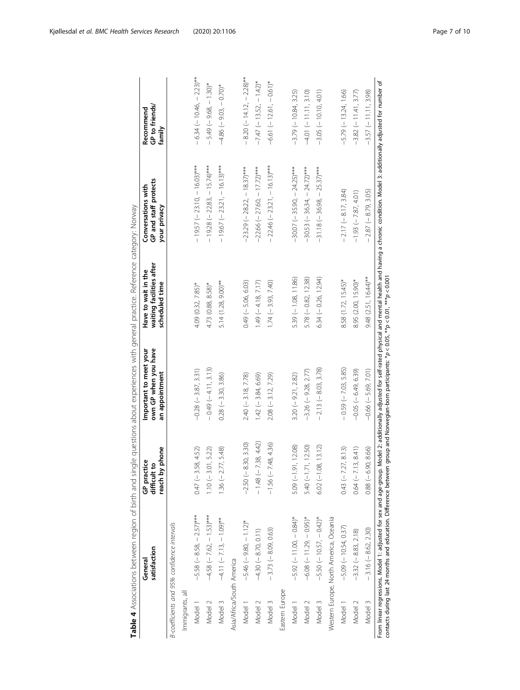<span id="page-6-0"></span>

|                           | satisfaction<br>General                                                                                                               | phone<br>GP practice<br>difficult to<br>reach by | own GP when you have<br>Important to meet your<br>an appointment                        | waiting facilities after<br>Have to wait in the<br>scheduled time | GP and staff protects<br>Conversations with<br>your privacy                                                                                           | GP to friends/<br>Recommend<br>family |
|---------------------------|---------------------------------------------------------------------------------------------------------------------------------------|--------------------------------------------------|-----------------------------------------------------------------------------------------|-------------------------------------------------------------------|-------------------------------------------------------------------------------------------------------------------------------------------------------|---------------------------------------|
|                           | B-coefficients and 95% confidence intervals                                                                                           |                                                  |                                                                                         |                                                                   |                                                                                                                                                       |                                       |
| Immigrants, all           |                                                                                                                                       |                                                  |                                                                                         |                                                                   |                                                                                                                                                       |                                       |
| Model 1                   | $-5.58$ ( $-8.58$ , $-2.57$ )***                                                                                                      | $0.47 (-3.58, 4.52)$                             | $-0.28$ ( $-3.87$ , 3.31)                                                               | 4.09 (0.32, 7.85)*                                                | $-19.57$ (-23.10, -16.03)***                                                                                                                          | $-6.34$ (-10.46, -2.23)**             |
| Model 2                   | $-4.58$ ( $-7.62$ , $-1.53$ )***                                                                                                      | $1.10 (-3.01, 5.22)$                             | $-0.49(-4.11, 3.13)$                                                                    | 4.73 (0.88, 8.58)*                                                | $-19.28$ (-22.83, -15.74)***                                                                                                                          | $-5.49(-9.68, -1.30)$ *               |
| Model 3                   | $-4.11 (-7.13, -1.09)$ **                                                                                                             | $1.36 (-2.77, 5.48)$                             | $0.28 (-3.30, 3.86)$                                                                    | $5.14(1.28, 9.00)$ **                                             | $-19.67$ ( $-23.21$ , $-16.13$ )***                                                                                                                   | $-4.86$ $(-9.03, -0.70)$ *            |
| Asia/Africa/South America |                                                                                                                                       |                                                  |                                                                                         |                                                                   |                                                                                                                                                       |                                       |
| Model 1                   | $-5.46 (-9.80, -1.12)^*$                                                                                                              | $-2.50 (-8.30, 3.30)$                            | $2.40 (-3.18, 7.78)$                                                                    | $0.49$ (-5.06, 6.03)                                              | $-23.29(-28.22, -18.37)$ ***                                                                                                                          | $-8.20(-14.12, -2.28)$ **             |
| Model 2                   | $-4.30(-8.70, 0.11)$                                                                                                                  | $-1.48$ (-7.38, 4.42)                            | $1.42$ (-3.84, 6.69)                                                                    | $1.49 (-4.18, 7.17)$                                              | $-22.66$ (-27.60, -17.72)***                                                                                                                          | $-7.47$ (-13.52, -1.42)*              |
| Model 3                   | $-3.73(-8.09, 0.63)$                                                                                                                  | $-1.56 (-7.48, 4.36)$                            | $2.08 (-3.12, 7.29)$                                                                    | $1.74 (-3.93, 7.40)$                                              | $-22.46$ (-23.21, -16.13)***                                                                                                                          | $-6.61(-12.61, -0.61)^*$              |
| Eastern Europe            |                                                                                                                                       |                                                  |                                                                                         |                                                                   |                                                                                                                                                       |                                       |
| Model 1                   | $-5.92(-11.00, -0.84)$ *                                                                                                              | $5.09 (-1.91, 12.08)$                            | $3.20 (-9.21, 2.82)$                                                                    | $5.39 (-1.08, 11.86)$                                             | $-30.07$ (-35.90, -24.25)***                                                                                                                          | $-3.79(-10.84, 3.25)$                 |
| Model 2                   | $-6.08$ ( $-11.29$ , $-0.95$ )*                                                                                                       | $5.40 (-1.71, 12.50)$                            | $-3.26 (-9.28, 2.77)$                                                                   | $5.78 (-0.82, 12.38)$                                             | $-30.53$ (-36.34, -24.72)***                                                                                                                          | $-4.01(-11.11, 3.10)$                 |
| Model 3                   | $-5.50$ (-10.57, -0.42)*                                                                                                              | $6.02 (-1.08, 13.12)$                            | $-2.13(-8.03, 3.78)$                                                                    | $6.34 (-0.26, 12.94)$                                             | $-31.18 (-36.98, -25.37)$ ***                                                                                                                         | $-3.05(-10.10, 4.01)$                 |
|                           | Western Europe, North America, Oceania                                                                                                |                                                  |                                                                                         |                                                                   |                                                                                                                                                       |                                       |
| Model 1                   | $-5.09 (-10.54, 0.37)$                                                                                                                | $0.43$ ( $-7.27$ , 8.13)                         | $-0.59(-7.03, 5.85)$                                                                    | 8.58 (1.72, 15.45)*                                               | $-2.17 (-8.17, 3.84)$                                                                                                                                 | $-5.79(-13.24, 1.66)$                 |
| Model 2                   | $-3.32(-8.83, 2.18)$                                                                                                                  | $0.64$ (-7.13, 8.41)                             | $-0.05 (-6.49, 6.39)$                                                                   | 8.95 (2.00, 15.90)*                                               | $-1.93(-7.87, 4.01)$                                                                                                                                  | $-3.82(-11.41, 3.77)$                 |
| Model 3                   | $-3.16 (-8.62, 2.30)$                                                                                                                 | $0.88 (-6.90, 8.66)$                             | $-0.66$ ( $-5.69$ , 7.01)                                                               | $9.48$ $(2.51, 16.44)$ <sup>**</sup>                              | $-2.87(-8.79, 3.05)$                                                                                                                                  | $-3.57(-11.11, 3.98)$                 |
|                           | contacts during last 24 months and education. Difference between<br>From linear regressions. Model 1: adjusted for sex and age-group. |                                                  | group and Norwegian-born participants: $^*p$ < 0.05, $^{**}p$ < 0.01, $^{***}p$ < 0.001 |                                                                   | Model 2: additionally adjusted for self-rated physical and mental health and having a chronic condition. Model 3: additionally adjusted for number of |                                       |

| ì<br>ŕ<br>5<br>ë                                       |  |
|--------------------------------------------------------|--|
| ׇ֘֒                                                    |  |
| j<br>٢<br>Ć<br>1<br>$\overline{\phantom{a}}$           |  |
| ļ<br>l<br>I                                            |  |
| ι<br>t<br>i<br>ļ<br>j                                  |  |
| $\frac{1}{2}$<br>ī<br>Ò<br>۱<br>I<br>Ì<br>j<br>1<br>ţ  |  |
|                                                        |  |
| í<br>¢<br>$\overline{\phantom{a}}$<br>ý<br>i<br>ļ<br>׃ |  |
| ۱<br>Ì                                                 |  |
| ŕ                                                      |  |
| ¢<br>ï<br>l<br>í<br>i                                  |  |
| Ś                                                      |  |
|                                                        |  |
|                                                        |  |
|                                                        |  |
| j<br>l                                                 |  |
| Ì<br>١<br>ׇ֚֚֘֝֝<br>l<br>ļ                             |  |
| l<br>I                                                 |  |
|                                                        |  |
| Ï<br>$\overline{1}$<br>ť<br>í                          |  |
| d<br>í                                                 |  |
| Ξ<br>7<br>ļ                                            |  |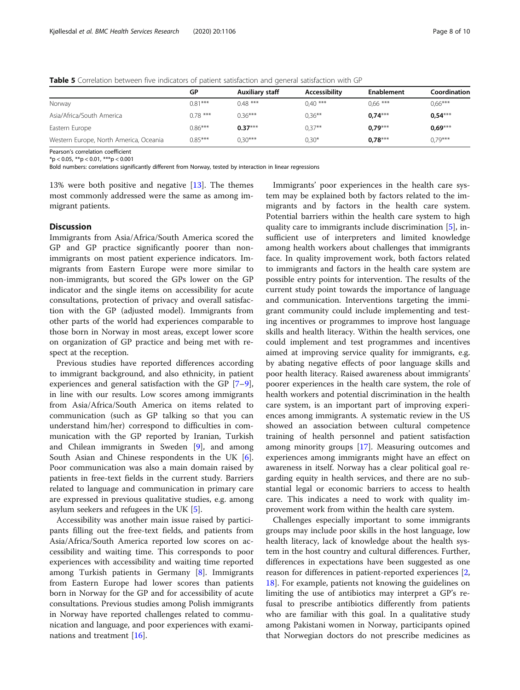<span id="page-7-0"></span>Table 5 Correlation between five indicators of patient satisfaction and general satisfaction with GP

|           | $\tilde{\phantom{a}}$  |               |            |              |
|-----------|------------------------|---------------|------------|--------------|
| GP        | <b>Auxiliary staff</b> | Accessibility | Enablement | Coordination |
| $0.81***$ | $0.48***$              | $0.40***$     | $0.66***$  | $0.66***$    |
| $0.78***$ | $0.36***$              | $0.36***$     | $0.74***$  | $0,54***$    |
| $0.86***$ | $0.37***$              | $0.37***$     | $0.79***$  | $0,69***$    |
| $0.85***$ | $0.30***$              | $0.30*$       | $0.78***$  | $0.79***$    |
|           |                        |               |            |              |

Pearson's correlation coefficient

 $*<sub>p</sub> < 0.05, **<sub>p</sub> < 0.01, **<sub>p</sub> < 0.001$ 

Bold numbers: correlations significantly different from Norway, tested by interaction in linear regressions

13% were both positive and negative [\[13\]](#page-9-0). The themes most commonly addressed were the same as among immigrant patients.

## **Discussion**

Immigrants from Asia/Africa/South America scored the GP and GP practice significantly poorer than nonimmigrants on most patient experience indicators. Immigrants from Eastern Europe were more similar to non-immigrants, but scored the GPs lower on the GP indicator and the single items on accessibility for acute consultations, protection of privacy and overall satisfaction with the GP (adjusted model). Immigrants from other parts of the world had experiences comparable to those born in Norway in most areas, except lower score on organization of GP practice and being met with respect at the reception.

Previous studies have reported differences according to immigrant background, and also ethnicity, in patient experiences and general satisfaction with the GP [\[7](#page-9-0)–[9](#page-9-0)], in line with our results. Low scores among immigrants from Asia/Africa/South America on items related to communication (such as GP talking so that you can understand him/her) correspond to difficulties in communication with the GP reported by Iranian, Turkish and Chilean immigrants in Sweden [[9](#page-9-0)], and among South Asian and Chinese respondents in the UK [\[6](#page-9-0)]. Poor communication was also a main domain raised by patients in free-text fields in the current study. Barriers related to language and communication in primary care are expressed in previous qualitative studies, e.g. among asylum seekers and refugees in the UK [[5](#page-9-0)].

Accessibility was another main issue raised by participants filling out the free-text fields, and patients from Asia/Africa/South America reported low scores on accessibility and waiting time. This corresponds to poor experiences with accessibility and waiting time reported among Turkish patients in Germany [\[8\]](#page-9-0). Immigrants from Eastern Europe had lower scores than patients born in Norway for the GP and for accessibility of acute consultations. Previous studies among Polish immigrants in Norway have reported challenges related to communication and language, and poor experiences with examinations and treatment [[16](#page-9-0)].

Immigrants' poor experiences in the health care system may be explained both by factors related to the immigrants and by factors in the health care system. Potential barriers within the health care system to high quality care to immigrants include discrimination [[5\]](#page-9-0), insufficient use of interpreters and limited knowledge among health workers about challenges that immigrants face. In quality improvement work, both factors related to immigrants and factors in the health care system are possible entry points for intervention. The results of the current study point towards the importance of language and communication. Interventions targeting the immigrant community could include implementing and testing incentives or programmes to improve host language skills and health literacy. Within the health services, one could implement and test programmes and incentives aimed at improving service quality for immigrants, e.g. by abating negative effects of poor language skills and poor health literacy. Raised awareness about immigrants' poorer experiences in the health care system, the role of health workers and potential discrimination in the health care system, is an important part of improving experiences among immigrants. A systematic review in the US showed an association between cultural competence training of health personnel and patient satisfaction among minority groups [\[17\]](#page-9-0). Measuring outcomes and experiences among immigrants might have an effect on awareness in itself. Norway has a clear political goal regarding equity in health services, and there are no substantial legal or economic barriers to access to health care. This indicates a need to work with quality improvement work from within the health care system.

Challenges especially important to some immigrants groups may include poor skills in the host language, low health literacy, lack of knowledge about the health system in the host country and cultural differences. Further, differences in expectations have been suggested as one reason for differences in patient-reported experiences [\[2](#page-9-0), [18\]](#page-9-0). For example, patients not knowing the guidelines on limiting the use of antibiotics may interpret a GP's refusal to prescribe antibiotics differently from patients who are familiar with this goal. In a qualitative study among Pakistani women in Norway, participants opined that Norwegian doctors do not prescribe medicines as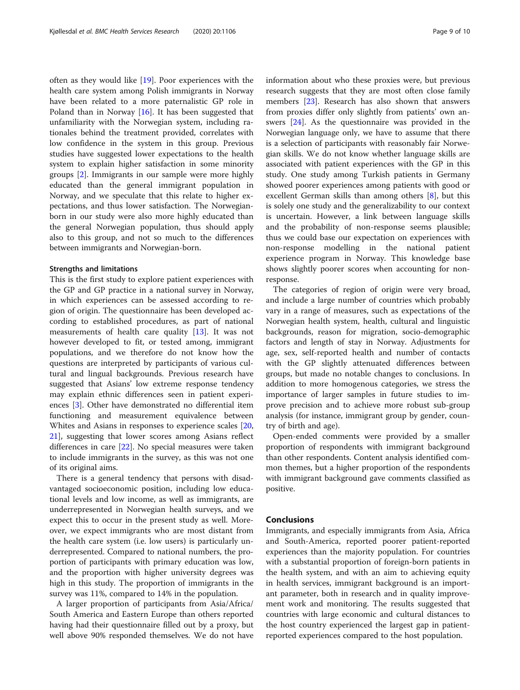often as they would like [[19](#page-9-0)]. Poor experiences with the health care system among Polish immigrants in Norway have been related to a more paternalistic GP role in Poland than in Norway  $[16]$  $[16]$  $[16]$ . It has been suggested that unfamiliarity with the Norwegian system, including rationales behind the treatment provided, correlates with low confidence in the system in this group. Previous studies have suggested lower expectations to the health system to explain higher satisfaction in some minority groups [\[2](#page-9-0)]. Immigrants in our sample were more highly educated than the general immigrant population in Norway, and we speculate that this relate to higher expectations, and thus lower satisfaction. The Norwegianborn in our study were also more highly educated than the general Norwegian population, thus should apply also to this group, and not so much to the differences between immigrants and Norwegian-born.

#### Strengths and limitations

This is the first study to explore patient experiences with the GP and GP practice in a national survey in Norway, in which experiences can be assessed according to region of origin. The questionnaire has been developed according to established procedures, as part of national measurements of health care quality [[13\]](#page-9-0). It was not however developed to fit, or tested among, immigrant populations, and we therefore do not know how the questions are interpreted by participants of various cultural and lingual backgrounds. Previous research have suggested that Asians' low extreme response tendency may explain ethnic differences seen in patient experiences [[3\]](#page-9-0). Other have demonstrated no differential item functioning and measurement equivalence between Whites and Asians in responses to experience scales [[20](#page-9-0), [21\]](#page-9-0), suggesting that lower scores among Asians reflect differences in care [[22\]](#page-9-0). No special measures were taken to include immigrants in the survey, as this was not one of its original aims.

There is a general tendency that persons with disadvantaged socioeconomic position, including low educational levels and low income, as well as immigrants, are underrepresented in Norwegian health surveys, and we expect this to occur in the present study as well. Moreover, we expect immigrants who are most distant from the health care system (i.e. low users) is particularly underrepresented. Compared to national numbers, the proportion of participants with primary education was low, and the proportion with higher university degrees was high in this study. The proportion of immigrants in the survey was 11%, compared to 14% in the population.

A larger proportion of participants from Asia/Africa/ South America and Eastern Europe than others reported having had their questionnaire filled out by a proxy, but well above 90% responded themselves. We do not have information about who these proxies were, but previous research suggests that they are most often close family members [[23\]](#page-9-0). Research has also shown that answers from proxies differ only slightly from patients' own answers [[24](#page-9-0)]. As the questionnaire was provided in the Norwegian language only, we have to assume that there is a selection of participants with reasonably fair Norwegian skills. We do not know whether language skills are associated with patient experiences with the GP in this study. One study among Turkish patients in Germany showed poorer experiences among patients with good or excellent German skills than among others [\[8](#page-9-0)], but this is solely one study and the generalizability to our context is uncertain. However, a link between language skills and the probability of non-response seems plausible; thus we could base our expectation on experiences with non-response modelling in the national patient experience program in Norway. This knowledge base shows slightly poorer scores when accounting for nonresponse.

The categories of region of origin were very broad, and include a large number of countries which probably vary in a range of measures, such as expectations of the Norwegian health system, health, cultural and linguistic backgrounds, reason for migration, socio-demographic factors and length of stay in Norway. Adjustments for age, sex, self-reported health and number of contacts with the GP slightly attenuated differences between groups, but made no notable changes to conclusions. In addition to more homogenous categories, we stress the importance of larger samples in future studies to improve precision and to achieve more robust sub-group analysis (for instance, immigrant group by gender, country of birth and age).

Open-ended comments were provided by a smaller proportion of respondents with immigrant background than other respondents. Content analysis identified common themes, but a higher proportion of the respondents with immigrant background gave comments classified as positive.

## Conclusions

Immigrants, and especially immigrants from Asia, Africa and South-America, reported poorer patient-reported experiences than the majority population. For countries with a substantial proportion of foreign-born patients in the health system, and with an aim to achieving equity in health services, immigrant background is an important parameter, both in research and in quality improvement work and monitoring. The results suggested that countries with large economic and cultural distances to the host country experienced the largest gap in patientreported experiences compared to the host population.